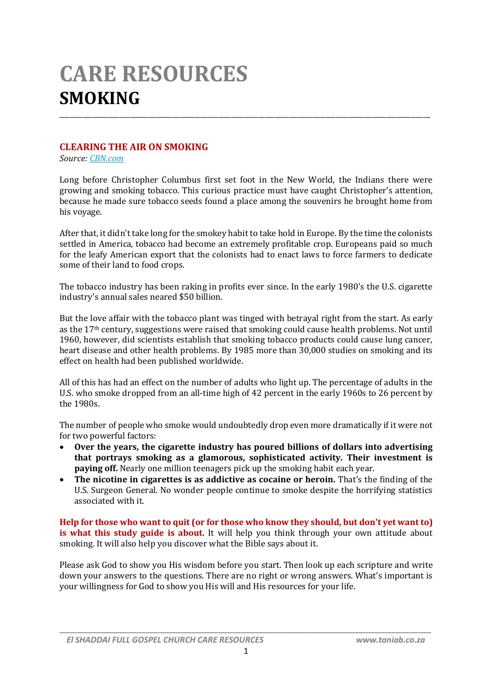# **CARE RESOURCES SMOKING**

### **CLEARING THE AIR ON SMOKING**

*Source: CBN.com*

Long before Christopher Columbus first set foot in the New World, the Indians there were growing and smoking tobacco. This curious practice must have caught Christopher's attention, because he made sure tobacco seeds found a place among the souvenirs he brought home from his voyage.

\_\_\_\_\_\_\_\_\_\_\_\_\_\_\_\_\_\_\_\_\_\_\_\_\_\_\_\_\_\_\_\_\_\_\_\_\_\_\_\_\_\_\_\_\_\_\_\_\_\_\_\_\_\_\_\_\_\_\_\_\_\_\_\_\_\_\_\_\_\_\_\_\_\_\_\_\_\_\_\_\_\_\_\_\_\_\_\_\_\_\_\_\_\_\_\_\_\_\_\_\_\_\_\_\_\_\_\_\_\_

After that, it didn't take long for the smokey habit to take hold in Europe. By the time the colonists settled in America, tobacco had become an extremely profitable crop. Europeans paid so much for the leafy American export that the colonists had to enact laws to force farmers to dedicate some of their land to food crops.

The tobacco industry has been raking in profits ever since. In the early 1980's the U.S. cigarette industry's annual sales neared \$50 billion.

But the love affair with the tobacco plant was tinged with betrayal right from the start. As early as the 17th century, suggestions were raised that smoking could cause health problems. Not until 1960, however, did scientists establish that smoking tobacco products could cause lung cancer, heart disease and other health problems. By 1985 more than 30,000 studies on smoking and its effect on health had been published worldwide.

All of this has had an effect on the number of adults who light up. The percentage of adults in the U.S. who smoke dropped from an all-time high of 42 percent in the early 1960s to 26 percent by the 1980s.

The number of people who smoke would undoubtedly drop even more dramatically if it were not for two powerful factors:

- **Over the years, the cigarette industry has poured billions of dollars into advertising that portrays smoking as a glamorous, sophisticated activity. Their investment is paying off.** Nearly one million teenagers pick up the smoking habit each year.
- **The nicotine in cigarettes is as addictive as cocaine or heroin.** That's the finding of the U.S. Surgeon General. No wonder people continue to smoke despite the horrifying statistics associated with it.

**Help for those who want to quit (or for those who know they should, but don't yet want to) is what this study guide is about.** It will help you think through your own attitude about smoking. It will also help you discover what the Bible says about it.

Please ask God to show you His wisdom before you start. Then look up each scripture and write down your answers to the questions. There are no right or wrong answers. What's important is your willingness for God to show you His will and His resources for your life.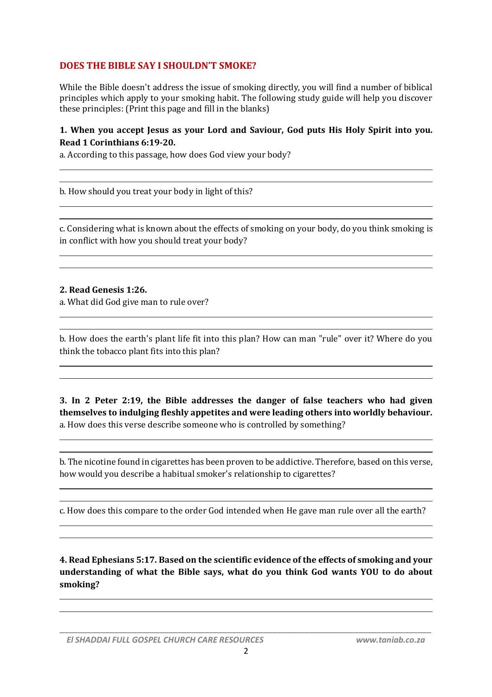# **DOES THE BIBLE SAY I SHOULDN'T SMOKE?**

While the Bible doesn't address the issue of smoking directly, you will find a number of biblical principles which apply to your smoking habit. The following study guide will help you discover these principles: (Print this page and fill in the blanks)

#### **1. When you accept Jesus as your Lord and Saviour, God puts His Holy Spirit into you. Read 1 Corinthians 6:19-20.**

a. According to this passage, how does God view your body?

b. How should you treat your body in light of this?

c. Considering what is known about the effects of smoking on your body, do you think smoking is in conflict with how you should treat your body?

#### **2. Read Genesis 1:26.**

a. What did God give man to rule over?

b. How does the earth's plant life fit into this plan? How can man "rule" over it? Where do you think the tobacco plant fits into this plan?

**3. In 2 Peter 2:19, the Bible addresses the danger of false teachers who had given themselves to indulging fleshly appetites and were leading others into worldly behaviour.** a. How does this verse describe someone who is controlled by something?

b. The nicotine found in cigarettes has been proven to be addictive. Therefore, based on this verse, how would you describe a habitual smoker's relationship to cigarettes?

c. How does this compare to the order God intended when He gave man rule over all the earth?

**4. Read Ephesians 5:17. Based on the scientific evidence of the effects of smoking and your understanding of what the Bible says, what do you think God wants YOU to do about smoking?**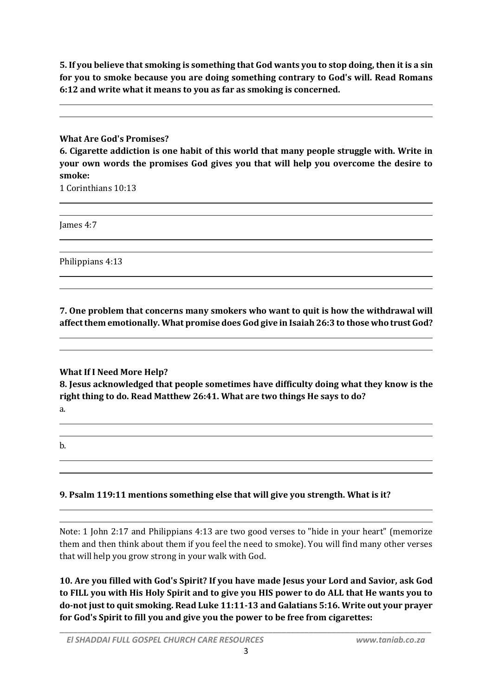**5. If you believe that smoking is something that God wants you to stop doing, then it is a sin for you to smoke because you are doing something contrary to God's will. Read Romans 6:12 and write what it means to you as far as smoking is concerned.**

#### **What Are God's Promises?**

**6. Cigarette addiction is one habit of this world that many people struggle with. Write in your own words the promises God gives you that will help you overcome the desire to smoke:**

1 Corinthians 10:13

James 4:7

Philippians 4:13

**7. One problem that concerns many smokers who want to quit is how the withdrawal will affect them emotionally. What promise does God give in Isaiah 26:3 to those who trust God?**

## **What If I Need More Help?**

**8. Jesus acknowledged that people sometimes have difficulty doing what they know is the right thing to do. Read Matthew 26:41. What are two things He says to do?**

- a.
- b.

# **9. Psalm 119:11 mentions something else that will give you strength. What is it?**

Note: 1 John 2:17 and Philippians 4:13 are two good verses to "hide in your heart" (memorize them and then think about them if you feel the need to smoke). You will find many other verses that will help you grow strong in your walk with God.

**10. Are you filled with God's Spirit? If you have made Jesus your Lord and Savior, ask God to FILL you with His Holy Spirit and to give you HIS power to do ALL that He wants you to do-not just to quit smoking. Read Luke 11:11-13 and Galatians 5:16. Write out your prayer for God's Spirit to fill you and give you the power to be free from cigarettes:**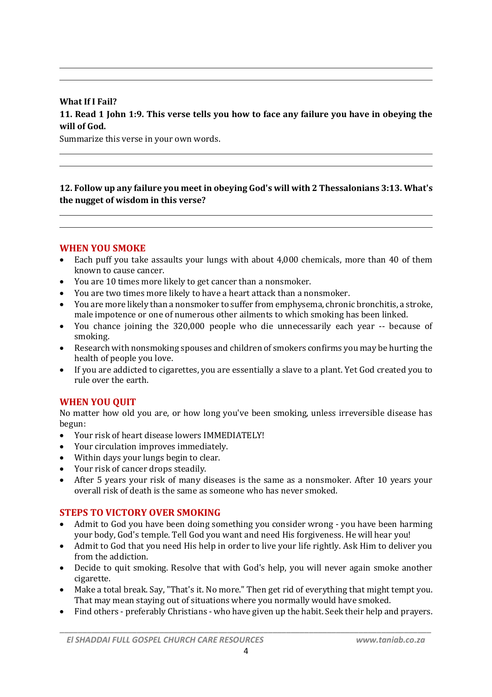# **What If I Fail? 11. Read 1 John 1:9. This verse tells you how to face any failure you have in obeying the will of God.**

Summarize this verse in your own words.

**12. Follow up any failure you meet in obeying God's will with 2 Thessalonians 3:13. What's the nugget of wisdom in this verse?**

#### **WHEN YOU SMOKE**

- Each puff you take assaults your lungs with about 4,000 chemicals, more than 40 of them known to cause cancer.
- You are 10 times more likely to get cancer than a nonsmoker.
- You are two times more likely to have a heart attack than a nonsmoker.
- You are more likely than a nonsmoker to suffer from emphysema, chronic bronchitis, a stroke, male impotence or one of numerous other ailments to which smoking has been linked.
- You chance joining the 320,000 people who die unnecessarily each year -- because of smoking.
- Research with nonsmoking spouses and children of smokers confirms you may be hurting the health of people you love.
- If you are addicted to cigarettes, you are essentially a slave to a plant. Yet God created you to rule over the earth.

## **WHEN YOU QUIT**

No matter how old you are, or how long you've been smoking, unless irreversible disease has begun:

- Your risk of heart disease lowers IMMEDIATELY!
- Your circulation improves immediately.
- Within days your lungs begin to clear.
- Your risk of cancer drops steadily.
- After 5 years your risk of many diseases is the same as a nonsmoker. After 10 years your overall risk of death is the same as someone who has never smoked.

#### **STEPS TO VICTORY OVER SMOKING**

- Admit to God you have been doing something you consider wrong you have been harming your body, God's temple. Tell God you want and need His forgiveness. He will hear you!
- Admit to God that you need His help in order to live your life rightly. Ask Him to deliver you from the addiction.
- Decide to quit smoking. Resolve that with God's help, you will never again smoke another cigarette.
- Make a total break. Say, "That's it. No more." Then get rid of everything that might tempt you. That may mean staying out of situations where you normally would have smoked.
- Find others preferably Christians who have given up the habit. Seek their help and prayers.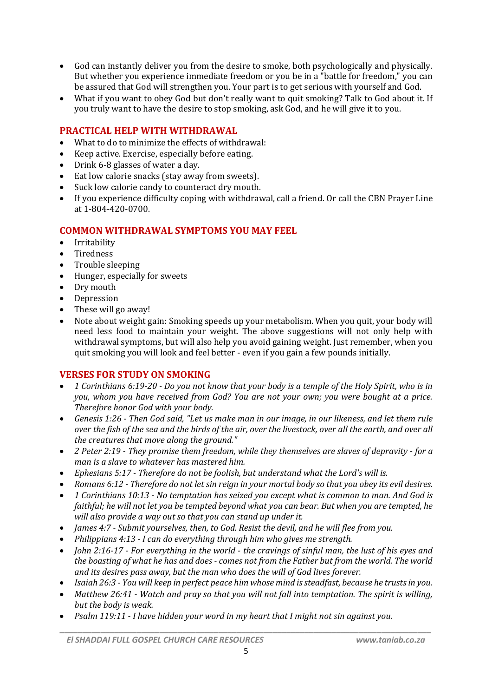- God can instantly deliver you from the desire to smoke, both psychologically and physically. But whether you experience immediate freedom or you be in a "battle for freedom," you can be assured that God will strengthen you. Your part is to get serious with yourself and God.
- What if you want to obey God but don't really want to quit smoking? Talk to God about it. If you truly want to have the desire to stop smoking, ask God, and he will give it to you.

## **PRACTICAL HELP WITH WITHDRAWAL**

- What to do to minimize the effects of withdrawal:
- Keep active. Exercise, especially before eating.
- Drink 6-8 glasses of water a day.
- Eat low calorie snacks (stay away from sweets).
- Suck low calorie candy to counteract dry mouth.
- If you experience difficulty coping with withdrawal, call a friend. Or call the CBN Prayer Line at 1-804-420-0700.

## **COMMON WITHDRAWAL SYMPTOMS YOU MAY FEEL**

- Irritability
- Tiredness
- Trouble sleeping
- Hunger, especially for sweets
- Dry mouth
- Depression
- These will go away!
- Note about weight gain: Smoking speeds up your metabolism. When you quit, your body will need less food to maintain your weight. The above suggestions will not only help with withdrawal symptoms, but will also help you avoid gaining weight. Just remember, when you quit smoking you will look and feel better - even if you gain a few pounds initially.

# **VERSES FOR STUDY ON SMOKING**

- *1 Corinthians 6:19-20 - Do you not know that your body is a temple of the Holy Spirit, who is in you, whom you have received from God? You are not your own; you were bought at a price. Therefore honor God with your body.*
- *Genesis 1:26 - Then God said, "Let us make man in our image, in our likeness, and let them rule over the fish of the sea and the birds of the air, over the livestock, over all the earth, and over all the creatures that move along the ground."*
- *2 Peter 2:19 - They promise them freedom, while they themselves are slaves of depravity - for a man is a slave to whatever has mastered him.*
- *Ephesians 5:17 - Therefore do not be foolish, but understand what the Lord's will is.*
- *Romans 6:12 - Therefore do not let sin reign in your mortal body so that you obey its evil desires.*
- *1 Corinthians 10:13 - No temptation has seized you except what is common to man. And God is faithful; he will not let you be tempted beyond what you can bear. But when you are tempted, he will also provide a way out so that you can stand up under it.*
- *James 4:7 - Submit yourselves, then, to God. Resist the devil, and he will flee from you.*
- *Philippians 4:13 - I can do everything through him who gives me strength.*
- *John 2:16-17 - For everything in the world - the cravings of sinful man, the lust of his eyes and the boasting of what he has and does - comes not from the Father but from the world. The world and its desires pass away, but the man who does the will of God lives forever.*
- *Isaiah 26:3 - You will keep in perfect peace him whose mind is steadfast, because he trusts in you.*
- *Matthew 26:41 - Watch and pray so that you will not fall into temptation. The spirit is willing, but the body is weak.*
- *Psalm 119:11 - I have hidden your word in my heart that I might not sin against you.*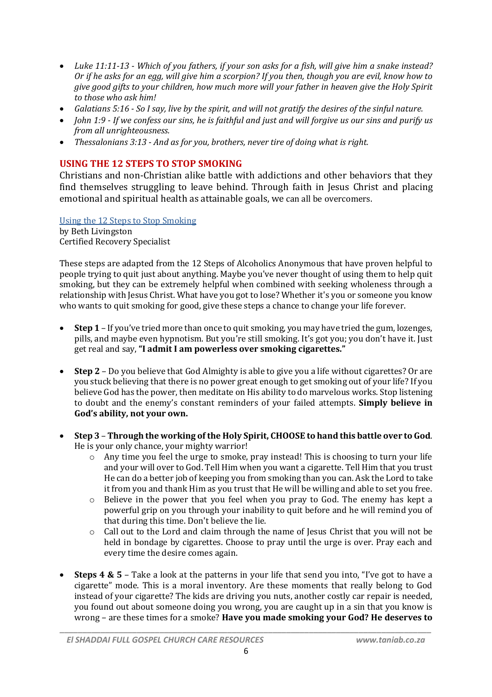- *Luke 11:11-13 - Which of you fathers, if your son asks for a fish, will give him a snake instead? Or if he asks for an egg, will give him a scorpion? If you then, though you are evil, know how to give good gifts to your children, how much more will your father in heaven give the Holy Spirit to those who ask him!*
- *Galatians 5:16 - So I say, live by the spirit, and will not gratify the desires of the sinful nature.*
- *John 1:9 - If we confess our sins, he is faithful and just and will forgive us our sins and purify us from all unrighteousness.*
- *Thessalonians 3:13 - And as for you, brothers, never tire of doing what is right.*

# **USING THE 12 STEPS TO STOP SMOKING**

Christians and non-Christian alike battle with addictions and other behaviors that they find themselves struggling to leave behind. Through faith in Jesus Christ and placing emotional and spiritual health as attainable goals, we can all be overcomers.

Using the 12 Steps to Stop Smoking by Beth Livingston Certified Recovery Specialist

These steps are adapted from the 12 Steps of Alcoholics Anonymous that have proven helpful to people trying to quit just about anything. Maybe you've never thought of using them to help quit smoking, but they can be extremely helpful when combined with seeking wholeness through a relationship with Jesus Christ. What have you got to lose? Whether it's you or someone you know who wants to quit smoking for good, give these steps a chance to change your life forever.

- **Step 1** If you've tried more than once to quit smoking, you may have tried the gum, lozenges, pills, and maybe even hypnotism. But you're still smoking. It's got you; you don't have it. Just get real and say, **"I admit I am powerless over smoking cigarettes."**
- **Step 2** Do you believe that God Almighty is able to give you a life without cigarettes? Or are you stuck believing that there is no power great enough to get smoking out of your life? If you believe God has the power, then meditate on His ability to do marvelous works. Stop listening to doubt and the enemy's constant reminders of your failed attempts. **Simply believe in God's ability, not your own.**
- **Step 3 Through the working of the Holy Spirit, CHOOSE to hand this battle over to God**. He is your only chance, your mighty warrior!
	- o Any time you feel the urge to smoke, pray instead! This is choosing to turn your life and your will over to God. Tell Him when you want a cigarette. Tell Him that you trust He can do a better job of keeping you from smoking than you can. Ask the Lord to take it from you and thank Him as you trust that He will be willing and able to set you free.
	- $\circ$  Believe in the power that you feel when you pray to God. The enemy has kept a powerful grip on you through your inability to quit before and he will remind you of that during this time. Don't believe the lie.
	- $\circ$  Call out to the Lord and claim through the name of Jesus Christ that you will not be held in bondage by cigarettes. Choose to pray until the urge is over. Pray each and every time the desire comes again.
- **Steps 4 & 5** Take a look at the patterns in your life that send you into, "I've got to have a cigarette" mode. This is a moral inventory. Are these moments that really belong to God instead of your cigarette? The kids are driving you nuts, another costly car repair is needed, you found out about someone doing you wrong, you are caught up in a sin that you know is wrong – are these times for a smoke? **Have you made smoking your God? He deserves to**